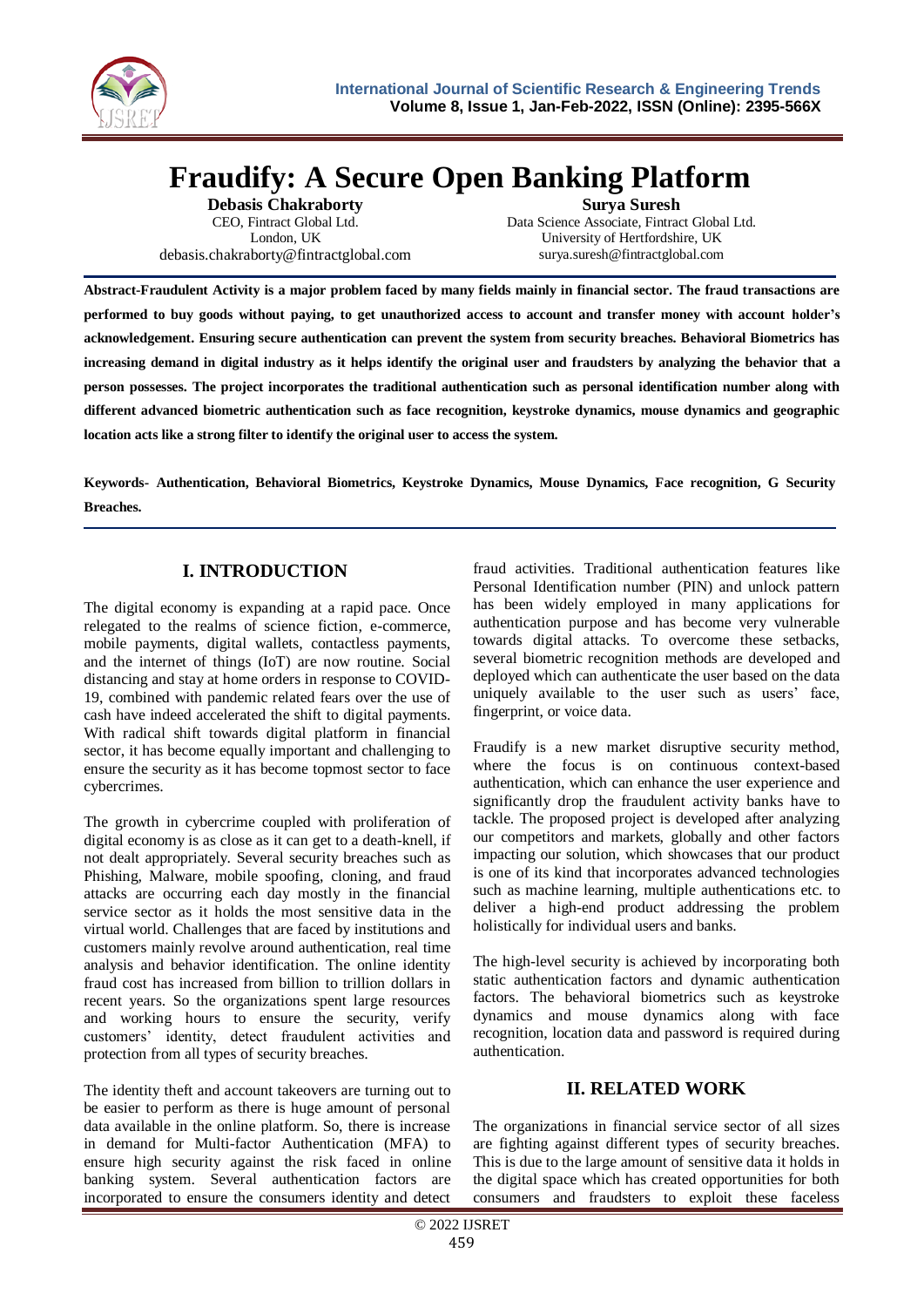

# **Fraudify: A Secure Open Banking Platform**

**Debasis Chakraborty** CEO, Fintract Global Ltd. London, UK [debasis.chakraborty@fintractglobal.com](mailto:debasis.chakraborty@fintractglobal.com)

**Surya Suresh** Data Science Associate, Fintract Global Ltd. University of Hertfordshire, UK surya.suresh@fintractglobal.com

**Abstract-Fraudulent Activity is a major problem faced by many fields mainly in financial sector. The fraud transactions are performed to buy goods without paying, to get unauthorized access to account and transfer money with account holder's acknowledgement. Ensuring secure authentication can prevent the system from security breaches. Behavioral Biometrics has increasing demand in digital industry as it helps identify the original user and fraudsters by analyzing the behavior that a person possesses. The project incorporates the traditional authentication such as personal identification number along with different advanced biometric authentication such as face recognition, keystroke dynamics, mouse dynamics and geographic location acts like a strong filter to identify the original user to access the system.**

**Keywords- Authentication, Behavioral Biometrics, Keystroke Dynamics, Mouse Dynamics, Face recognition, G Security Breaches.**

# **I. INTRODUCTION**

The digital economy is expanding at a rapid pace. Once relegated to the realms of science fiction, e-commerce, mobile payments, digital wallets, contactless payments, and the internet of things (IoT) are now routine. Social distancing and stay at home orders in response to COVID-19, combined with pandemic related fears over the use of cash have indeed accelerated the shift to digital payments. With radical shift towards digital platform in financial sector, it has become equally important and challenging to ensure the security as it has become topmost sector to face cybercrimes.

The growth in cybercrime coupled with proliferation of digital economy is as close as it can get to a death-knell, if not dealt appropriately. Several security breaches such as Phishing, Malware, mobile spoofing, cloning, and fraud attacks are occurring each day mostly in the financial service sector as it holds the most sensitive data in the virtual world. Challenges that are faced by institutions and customers mainly revolve around authentication, real time analysis and behavior identification. The online identity fraud cost has increased from billion to trillion dollars in recent years. So the organizations spent large resources and working hours to ensure the security, verify customers' identity, detect fraudulent activities and protection from all types of security breaches.

The identity theft and account takeovers are turning out to be easier to perform as there is huge amount of personal data available in the online platform. So, there is increase in demand for Multi-factor Authentication (MFA) to ensure high security against the risk faced in online banking system. Several authentication factors are incorporated to ensure the consumers identity and detect

fraud activities. Traditional authentication features like Personal Identification number (PIN) and unlock pattern has been widely employed in many applications for authentication purpose and has become very vulnerable towards digital attacks. To overcome these setbacks, several biometric recognition methods are developed and deployed which can authenticate the user based on the data uniquely available to the user such as users' face, fingerprint, or voice data.

Fraudify is a new market disruptive security method, where the focus is on continuous context-based authentication, which can enhance the user experience and significantly drop the fraudulent activity banks have to tackle. The proposed project is developed after analyzing our competitors and markets, globally and other factors impacting our solution, which showcases that our product is one of its kind that incorporates advanced technologies such as machine learning, multiple authentications etc. to deliver a high-end product addressing the problem holistically for individual users and banks.

The high-level security is achieved by incorporating both static authentication factors and dynamic authentication factors. The behavioral biometrics such as keystroke dynamics and mouse dynamics along with face recognition, location data and password is required during authentication.

## **II. RELATED WORK**

The organizations in financial service sector of all sizes are fighting against different types of security breaches. This is due to the large amount of sensitive data it holds in the digital space which has created opportunities for both consumers and fraudsters to exploit these faceless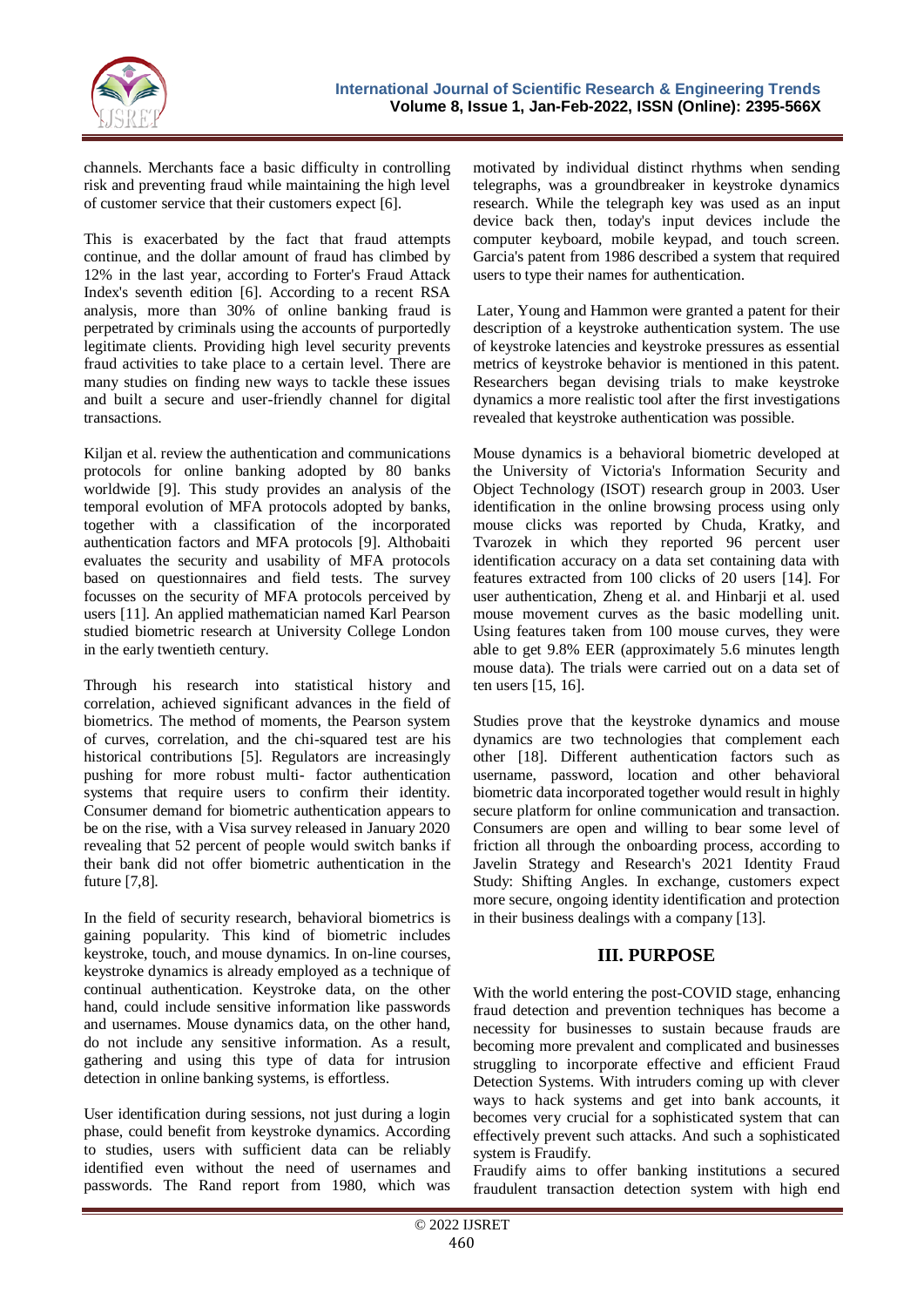

channels. Merchants face a basic difficulty in controlling risk and preventing fraud while maintaining the high level of customer service that their customers expect [6].

This is exacerbated by the fact that fraud attempts continue, and the dollar amount of fraud has climbed by 12% in the last year, according to Forter's Fraud Attack Index's seventh edition [6]. According to a recent RSA analysis, more than 30% of online banking fraud is perpetrated by criminals using the accounts of purportedly legitimate clients. Providing high level security prevents fraud activities to take place to a certain level. There are many studies on finding new ways to tackle these issues and built a secure and user-friendly channel for digital transactions.

Kiljan et al. review the authentication and communications protocols for online banking adopted by 80 banks worldwide [9]. This study provides an analysis of the temporal evolution of MFA protocols adopted by banks, together with a classification of the incorporated authentication factors and MFA protocols [9]. Althobaiti evaluates the security and usability of MFA protocols based on questionnaires and field tests. The survey focusses on the security of MFA protocols perceived by users [11]. An applied mathematician named Karl Pearson studied biometric research at University College London in the early twentieth century.

Through his research into statistical history and correlation, achieved significant advances in the field of biometrics. The method of moments, the Pearson system of curves, correlation, and the chi-squared test are his historical contributions [5]. Regulators are increasingly pushing for more robust multi- factor authentication systems that require users to confirm their identity. Consumer demand for biometric authentication appears to be on the rise, with a Visa survey released in January 2020 revealing that 52 percent of people would switch banks if their bank did not offer biometric authentication in the future [7,8].

In the field of security research, behavioral biometrics is gaining popularity. This kind of biometric includes keystroke, touch, and mouse dynamics. In on-line courses, keystroke dynamics is already employed as a technique of continual authentication. Keystroke data, on the other hand, could include sensitive information like passwords and usernames. Mouse dynamics data, on the other hand, do not include any sensitive information. As a result, gathering and using this type of data for intrusion detection in online banking systems, is effortless.

User identification during sessions, not just during a login phase, could benefit from keystroke dynamics. According to studies, users with sufficient data can be reliably identified even without the need of usernames and passwords. The Rand report from 1980, which was

motivated by individual distinct rhythms when sending telegraphs, was a groundbreaker in keystroke dynamics research. While the telegraph key was used as an input device back then, today's input devices include the computer keyboard, mobile keypad, and touch screen. Garcia's patent from 1986 described a system that required users to type their names for authentication.

Later, Young and Hammon were granted a patent for their description of a keystroke authentication system. The use of keystroke latencies and keystroke pressures as essential metrics of keystroke behavior is mentioned in this patent. Researchers began devising trials to make keystroke dynamics a more realistic tool after the first investigations revealed that keystroke authentication was possible.

Mouse dynamics is a behavioral biometric developed at the University of Victoria's Information Security and Object Technology (ISOT) research group in 2003. User identification in the online browsing process using only mouse clicks was reported by Chuda, Kratky, and Tvarozek in which they reported 96 percent user identification accuracy on a data set containing data with features extracted from 100 clicks of 20 users [14]. For user authentication, Zheng et al. and Hinbarji et al. used mouse movement curves as the basic modelling unit. Using features taken from 100 mouse curves, they were able to get 9.8% EER (approximately 5.6 minutes length mouse data). The trials were carried out on a data set of ten users [15, 16].

Studies prove that the keystroke dynamics and mouse dynamics are two technologies that complement each other [18]. Different authentication factors such as username, password, location and other behavioral biometric data incorporated together would result in highly secure platform for online communication and transaction. Consumers are open and willing to bear some level of friction all through the onboarding process, according to Javelin Strategy and Research's 2021 Identity Fraud Study: Shifting Angles. In exchange, customers expect more secure, ongoing identity identification and protection in their business dealings with a company [13].

## **III. PURPOSE**

With the world entering the post-COVID stage, enhancing fraud detection and prevention techniques has become a necessity for businesses to sustain because frauds are becoming more prevalent and complicated and businesses struggling to incorporate effective and efficient Fraud Detection Systems. With intruders coming up with clever ways to hack systems and get into bank accounts, it becomes very crucial for a sophisticated system that can effectively prevent such attacks. And such a sophisticated system is Fraudify.

Fraudify aims to offer banking institutions a secured fraudulent transaction detection system with high end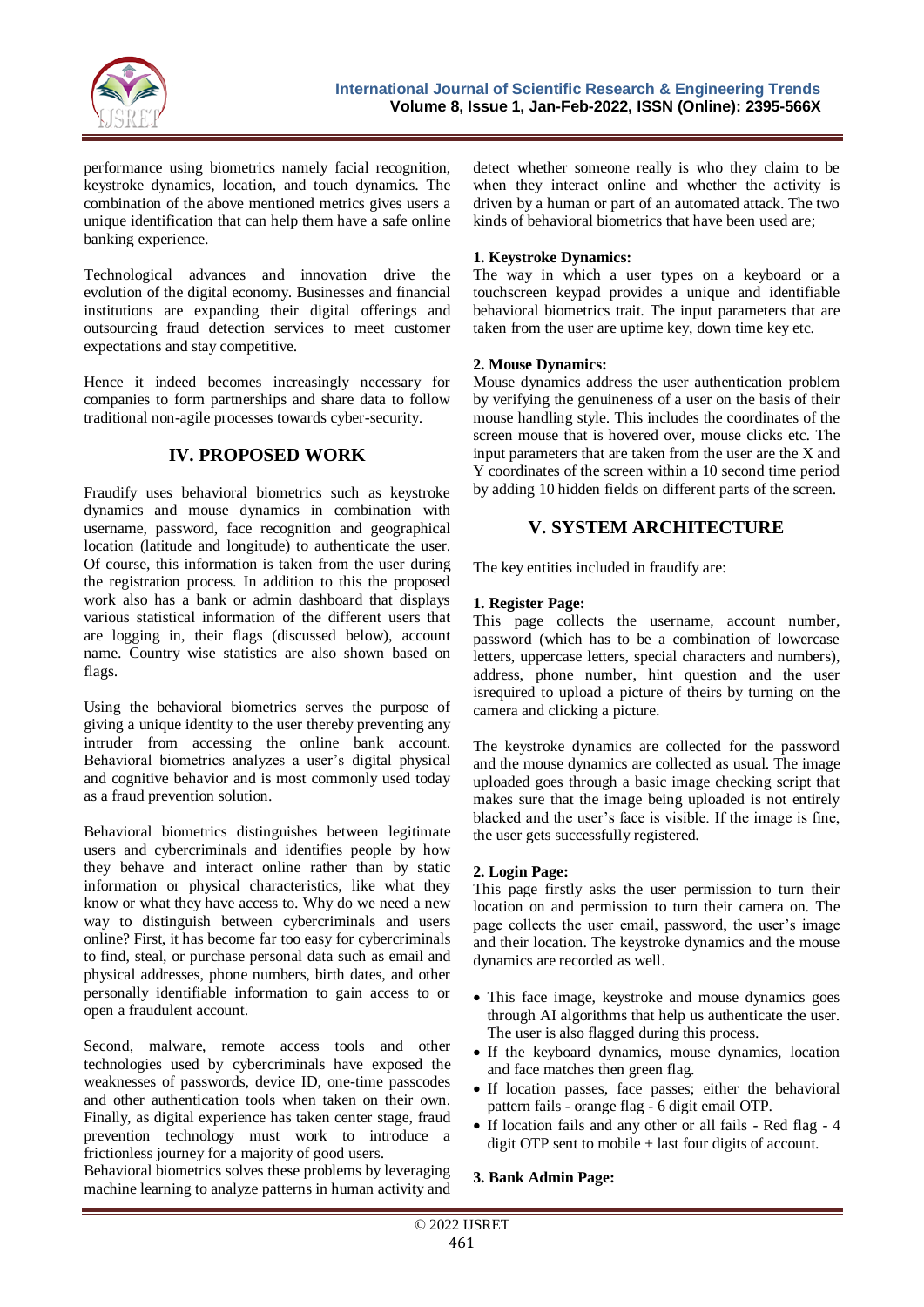

performance using biometrics namely facial recognition, keystroke dynamics, location, and touch dynamics. The combination of the above mentioned metrics gives users a unique identification that can help them have a safe online banking experience.

Technological advances and innovation drive the evolution of the digital economy. Businesses and financial institutions are expanding their digital offerings and outsourcing fraud detection services to meet customer expectations and stay competitive.

Hence it indeed becomes increasingly necessary for companies to form partnerships and share data to follow traditional non-agile processes towards cyber-security.

## **IV. PROPOSED WORK**

Fraudify uses behavioral biometrics such as keystroke dynamics and mouse dynamics in combination with username, password, face recognition and geographical location (latitude and longitude) to authenticate the user. Of course, this information is taken from the user during the registration process. In addition to this the proposed work also has a bank or admin dashboard that displays various statistical information of the different users that are logging in, their flags (discussed below), account name. Country wise statistics are also shown based on flags.

Using the behavioral biometrics serves the purpose of giving a unique identity to the user thereby preventing any intruder from accessing the online bank account. Behavioral biometrics analyzes a user's digital physical and cognitive behavior and is most commonly used today as a fraud prevention solution.

Behavioral biometrics distinguishes between legitimate users and cybercriminals and identifies people by how they behave and interact online rather than by static information or physical characteristics, like what they know or what they have access to. Why do we need a new way to distinguish between cybercriminals and users online? First, it has become far too easy for cybercriminals to find, steal, or purchase personal data such as email and physical addresses, phone numbers, birth dates, and other personally identifiable information to gain access to or open a fraudulent account.

Second, malware, remote access tools and other technologies used by cybercriminals have exposed the weaknesses of passwords, device ID, one-time passcodes and other authentication tools when taken on their own. Finally, as digital experience has taken center stage, fraud prevention technology must work to introduce a frictionless journey for a majority of good users.

Behavioral biometrics solves these problems by leveraging machine learning to analyze patterns in human activity and detect whether someone really is who they claim to be when they interact online and whether the activity is driven by a human or part of an automated attack. The two kinds of behavioral biometrics that have been used are;

### **1. Keystroke Dynamics:**

The way in which a user types on a keyboard or a touchscreen keypad provides a unique and identifiable behavioral biometrics trait. The input parameters that are taken from the user are uptime key, down time key etc.

#### **2. Mouse Dynamics:**

Mouse dynamics address the user authentication problem by verifying the genuineness of a user on the basis of their mouse handling style. This includes the coordinates of the screen mouse that is hovered over, mouse clicks etc. The input parameters that are taken from the user are the X and Y coordinates of the screen within a 10 second time period by adding 10 hidden fields on different parts of the screen.

## **V. SYSTEM ARCHITECTURE**

The key entities included in fraudify are:

#### **1. Register Page:**

This page collects the username, account number, password (which has to be a combination of lowercase letters, uppercase letters, special characters and numbers), address, phone number, hint question and the user isrequired to upload a picture of theirs by turning on the camera and clicking a picture.

The keystroke dynamics are collected for the password and the mouse dynamics are collected as usual. The image uploaded goes through a basic image checking script that makes sure that the image being uploaded is not entirely blacked and the user's face is visible. If the image is fine, the user gets successfully registered.

#### **2. Login Page:**

This page firstly asks the user permission to turn their location on and permission to turn their camera on. The page collects the user email, password, the user's image and their location. The keystroke dynamics and the mouse dynamics are recorded as well.

- This face image, keystroke and mouse dynamics goes through AI algorithms that help us authenticate the user. The user is also flagged during this process.
- If the keyboard dynamics, mouse dynamics, location and face matches then green flag.
- If location passes, face passes; either the behavioral pattern fails - orange flag - 6 digit email OTP.
- If location fails and any other or all fails Red flag 4 digit OTP sent to mobile + last four digits of account.

#### **3. Bank Admin Page:**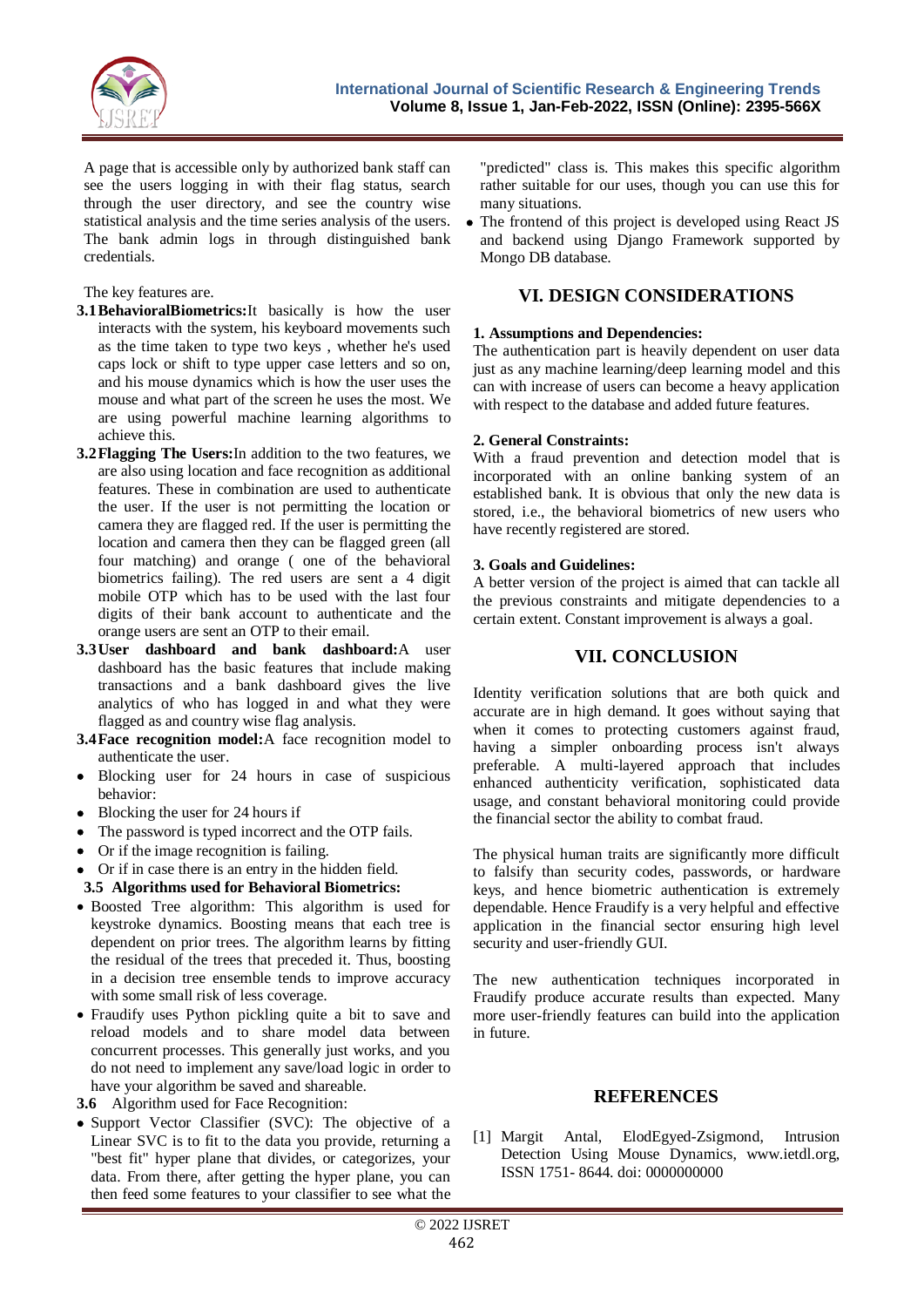

A page that is accessible only by authorized bank staff can see the users logging in with their flag status, search through the user directory, and see the country wise statistical analysis and the time series analysis of the users. The bank admin logs in through distinguished bank credentials.

The key features are.

- **3.1BehavioralBiometrics:**It basically is how the user interacts with the system, his keyboard movements such as the time taken to type two keys , whether he's used caps lock or shift to type upper case letters and so on, and his mouse dynamics which is how the user uses the mouse and what part of the screen he uses the most. We are using powerful machine learning algorithms to achieve this.
- **3.2Flagging The Users:**In addition to the two features, we are also using location and face recognition as additional features. These in combination are used to authenticate the user. If the user is not permitting the location or camera they are flagged red. If the user is permitting the location and camera then they can be flagged green (all four matching) and orange ( one of the behavioral biometrics failing). The red users are sent a 4 digit mobile OTP which has to be used with the last four digits of their bank account to authenticate and the orange users are sent an OTP to their email.
- **3.3User dashboard and bank dashboard:**A user dashboard has the basic features that include making transactions and a bank dashboard gives the live analytics of who has logged in and what they were flagged as and country wise flag analysis.
- **3.4Face recognition model:**A face recognition model to authenticate the user.
- Blocking user for 24 hours in case of suspicious behavior:
- Blocking the user for 24 hours if
- The password is typed incorrect and the OTP fails.
- Or if the image recognition is failing.
- Or if in case there is an entry in the hidden field.
- **3.5 Algorithms used for Behavioral Biometrics:**
- Boosted Tree algorithm: This algorithm is used for keystroke dynamics. Boosting means that each tree is dependent on prior trees. The algorithm learns by fitting the residual of the trees that preceded it. Thus, boosting in a decision tree ensemble tends to improve accuracy with some small risk of less coverage.
- Fraudify uses Python pickling quite a bit to save and reload models and to share model data between concurrent processes. This generally just works, and you do not need to implement any save/load logic in order to have your algorithm be saved and shareable.
- **3.6** Algorithm used for Face Recognition:
- Support Vector Classifier (SVC): The objective of a Linear SVC is to fit to the data you provide, returning a "best fit" hyper plane that divides, or categorizes, your data. From there, after getting the hyper plane, you can then feed some features to your classifier to see what the

"predicted" class is. This makes this specific algorithm rather suitable for our uses, though you can use this for many situations.

• The frontend of this project is developed using React JS and backend using Django Framework supported by Mongo DB database.

# **VI. DESIGN CONSIDERATIONS**

#### **1. Assumptions and Dependencies:**

The authentication part is heavily dependent on user data just as any machine learning/deep learning model and this can with increase of users can become a heavy application with respect to the database and added future features.

#### **2. General Constraints:**

With a fraud prevention and detection model that is incorporated with an online banking system of an established bank. It is obvious that only the new data is stored, i.e., the behavioral biometrics of new users who have recently registered are stored.

#### **3. Goals and Guidelines:**

A better version of the project is aimed that can tackle all the previous constraints and mitigate dependencies to a certain extent. Constant improvement is always a goal.

## **VII. CONCLUSION**

Identity verification solutions that are both quick and accurate are in high demand. It goes without saying that when it comes to protecting customers against fraud, having a simpler onboarding process isn't always preferable. A multi-layered approach that includes enhanced authenticity verification, sophisticated data usage, and constant behavioral monitoring could provide the financial sector the ability to combat fraud.

The physical human traits are significantly more difficult to falsify than security codes, passwords, or hardware keys, and hence biometric authentication is extremely dependable. Hence Fraudify is a very helpful and effective application in the financial sector ensuring high level security and user-friendly GUI.

The new authentication techniques incorporated in Fraudify produce accurate results than expected. Many more user-friendly features can build into the application in future.

## **REFERENCES**

[1] Margit Antal, ElodEgyed-Zsigmond, Intrusion Detection Using Mouse Dynamics, www.ietdl.org, ISSN 1751- 8644. doi: 0000000000